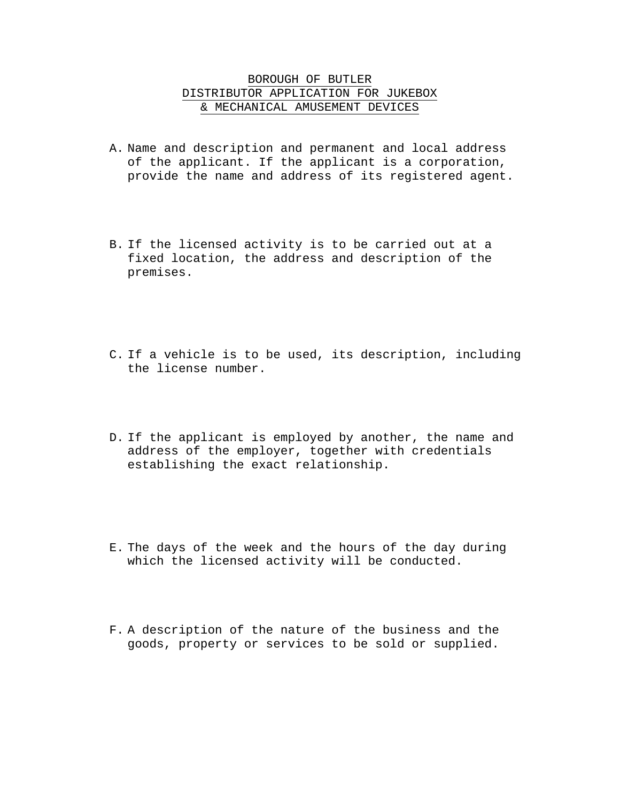## BOROUGH OF BUTLER DISTRIBUTOR APPLICATION FOR JUKEBOX & MECHANICAL AMUSEMENT DEVICES

- A. Name and description and permanent and local address of the applicant. If the applicant is a corporation, provide the name and address of its registered agent.
- B. If the licensed activity is to be carried out at a fixed location, the address and description of the premises.
- C. If a vehicle is to be used, its description, including the license number.
- D. If the applicant is employed by another, the name and address of the employer, together with credentials establishing the exact relationship.
- E. The days of the week and the hours of the day during which the licensed activity will be conducted.
- F. A description of the nature of the business and the goods, property or services to be sold or supplied.